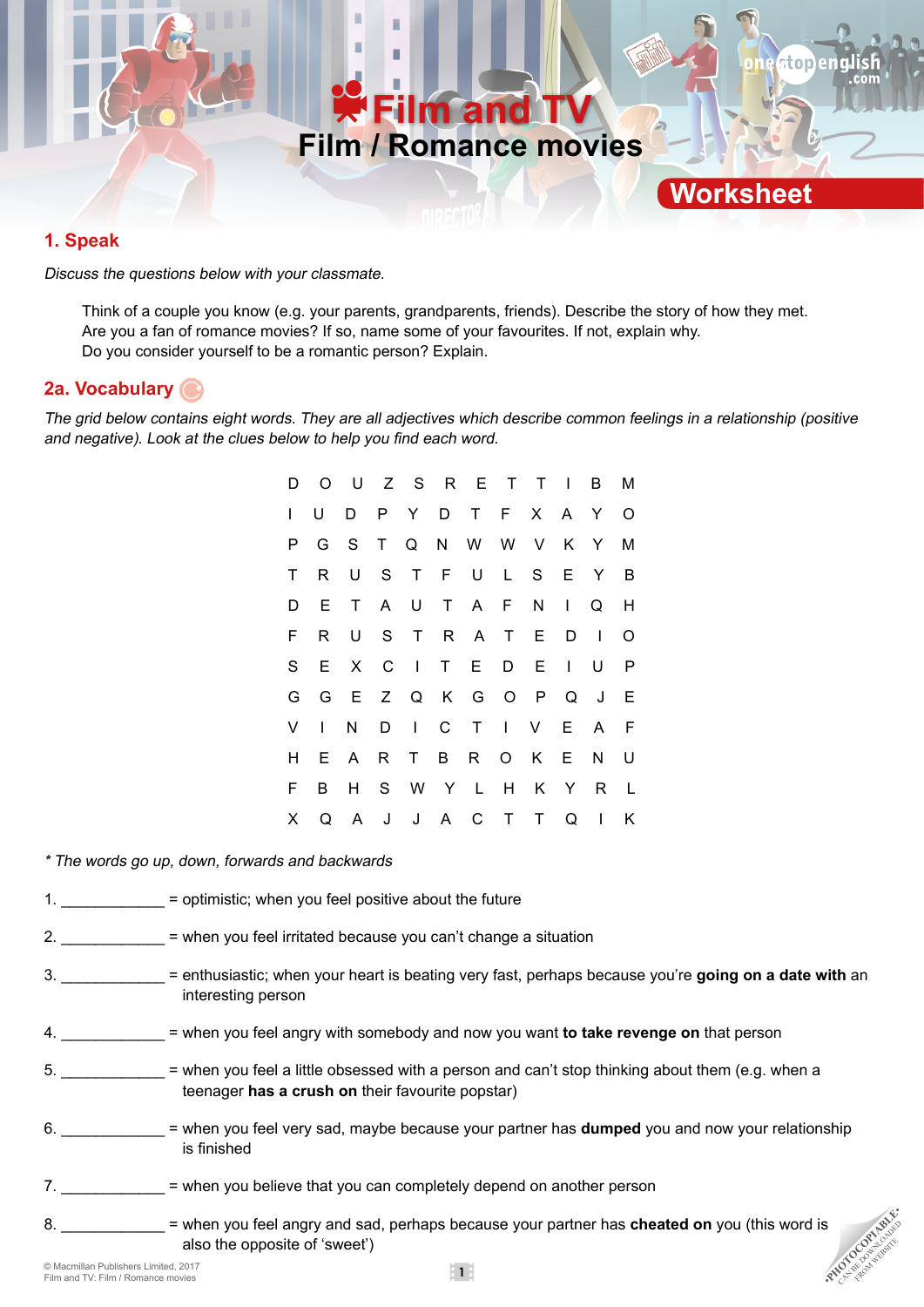

### **1. Speak**

Discuss the questions below with your classmate.

Think of a couple you know (e.g. your parents, grandparents, friends). Describe the story of how they met. Are you a fan of romance movies? If so, name some of your favourites. If not, explain why. Do you consider yourself to be a romantic person? Explain.

### **2a. Vocabulary**

The grid below contains eight words. They are all adjectives which describe common feelings in a relationship (positive and negative). Look at the clues below to help you find each word.

|   |  |  | D O U Z S R E T T I B M |  |  |                |
|---|--|--|-------------------------|--|--|----------------|
|   |  |  | D P Y D T F X A Y       |  |  | $\circ$ O      |
|   |  |  | P G S T Q N W W V K Y   |  |  | M              |
| T |  |  | R U S T F U L S E Y     |  |  | $\overline{B}$ |
|   |  |  | D E T A U T A F N I Q H |  |  |                |
| F |  |  | R U S T R A T E D I     |  |  | $\circ$        |
|   |  |  | S E X C I T E D E I U   |  |  | $\mathsf{P}$   |
|   |  |  | G G E Z Q K G O P Q J E |  |  |                |
|   |  |  | V I N D I C T I V E A F |  |  |                |
| Н |  |  | E A R T B R O K E N U   |  |  |                |
| F |  |  | B H S W Y L H K Y R L   |  |  |                |
|   |  |  | X Q A J J A C T T Q I K |  |  |                |

\* The words go up, down, forwards and backwards

- 1.  $=$  optimistic; when you feel positive about the future
- 2. \_\_\_\_\_\_\_\_\_\_\_\_ = when you feel irritated because you can't change a situation
- 3. \_\_\_\_\_\_\_\_\_\_\_\_ = enthusiastic; when your heart is beating very fast, perhaps because you're **going on a date with** an interesting person
- 4. \_\_\_\_\_\_\_\_\_\_\_\_ = when you feel angry with somebody and now you want **to take revenge on** that person
- 5.  $\blacksquare$  when you feel a little obsessed with a person and can't stop thinking about them (e.g. when a teenager **has a crush on** their favourite popstar)
- 6. \_\_\_\_\_\_\_\_\_\_\_\_ = when you feel very sad, maybe because your partner has **dumped** you and now your relationship is finished
- 7.  $=$  when you believe that you can completely depend on another person
- 8. \_\_\_\_\_\_\_\_\_\_\_\_\_\_\_ = when you feel angry and sad, perhaps because your partner has **cheated on** you (this word is also the opposite of 'sweet')<br> **Examilian Publishers Limited, 2017**<br>
Film and TV: Film / Romance movies ••• also the opposite of 'sweet')

FROM WEBSITE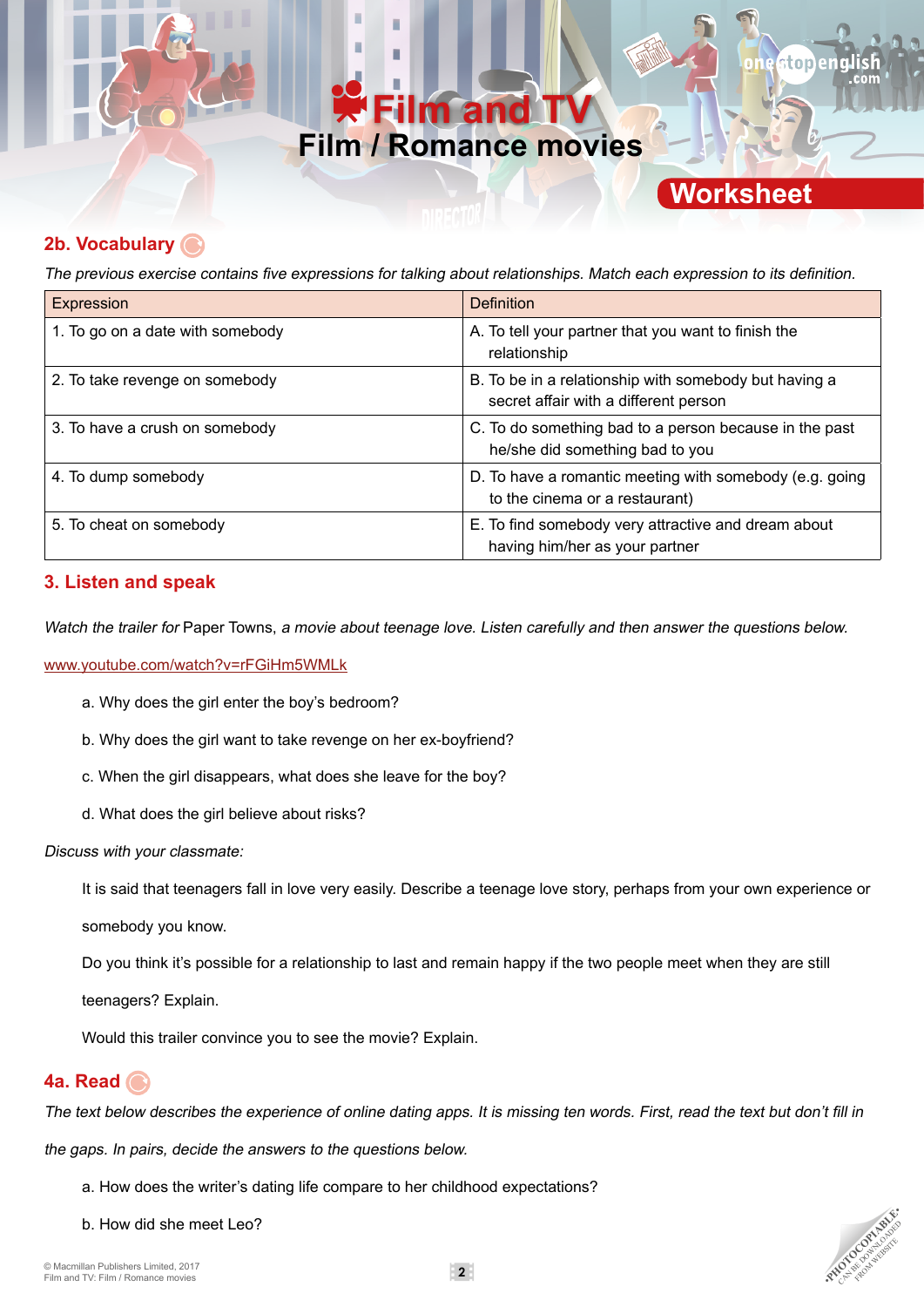## **Im and Film / Romance movies**

## **Worksheet**

toner

**PHOTOCOPIABLE** FROM WEBSITE

## **2b. Vocabulary**

The previous exercise contains five expressions for talking about relationships. Match each expression to its definition.

| Expression                       | Definition                                                                                     |
|----------------------------------|------------------------------------------------------------------------------------------------|
| 1. To go on a date with somebody | A. To tell your partner that you want to finish the<br>relationship                            |
| 2. To take revenge on somebody   | B. To be in a relationship with somebody but having a<br>secret affair with a different person |
| 3. To have a crush on somebody   | C. To do something bad to a person because in the past<br>he/she did something bad to you      |
| 4. To dump somebody              | D. To have a romantic meeting with somebody (e.g. going<br>to the cinema or a restaurant)      |
| 5. To cheat on somebody          | E. To find somebody very attractive and dream about<br>having him/her as your partner          |

### **3. Listen and speak**

Watch the trailer for Paper Towns, a movie about teenage love. Listen carefully and then answer the questions below.

#### www.youtube.com/watch?v=rFGiHm5WMLk

- a. Why does the girl enter the boy's bedroom?
- b. Why does the girl want to take revenge on her ex-boyfriend?
- c. When the girl disappears, what does she leave for the boy?
- d. What does the girl believe about risks?

#### Discuss with your classmate:

It is said that teenagers fall in love very easily. Describe a teenage love story, perhaps from your own experience or

somebody you know.

Do you think it's possible for a relationship to last and remain happy if the two people meet when they are still

teenagers? Explain.

Would this trailer convince you to see the movie? Explain.

#### **4a. Read**

The text below describes the experience of online dating apps. It is missing ten words. First, read the text but don't fill in

the gaps. In pairs, decide the answers to the questions below.

- a. How does the writer's dating life compare to her childhood expectations?
- b. How did she meet Leo?

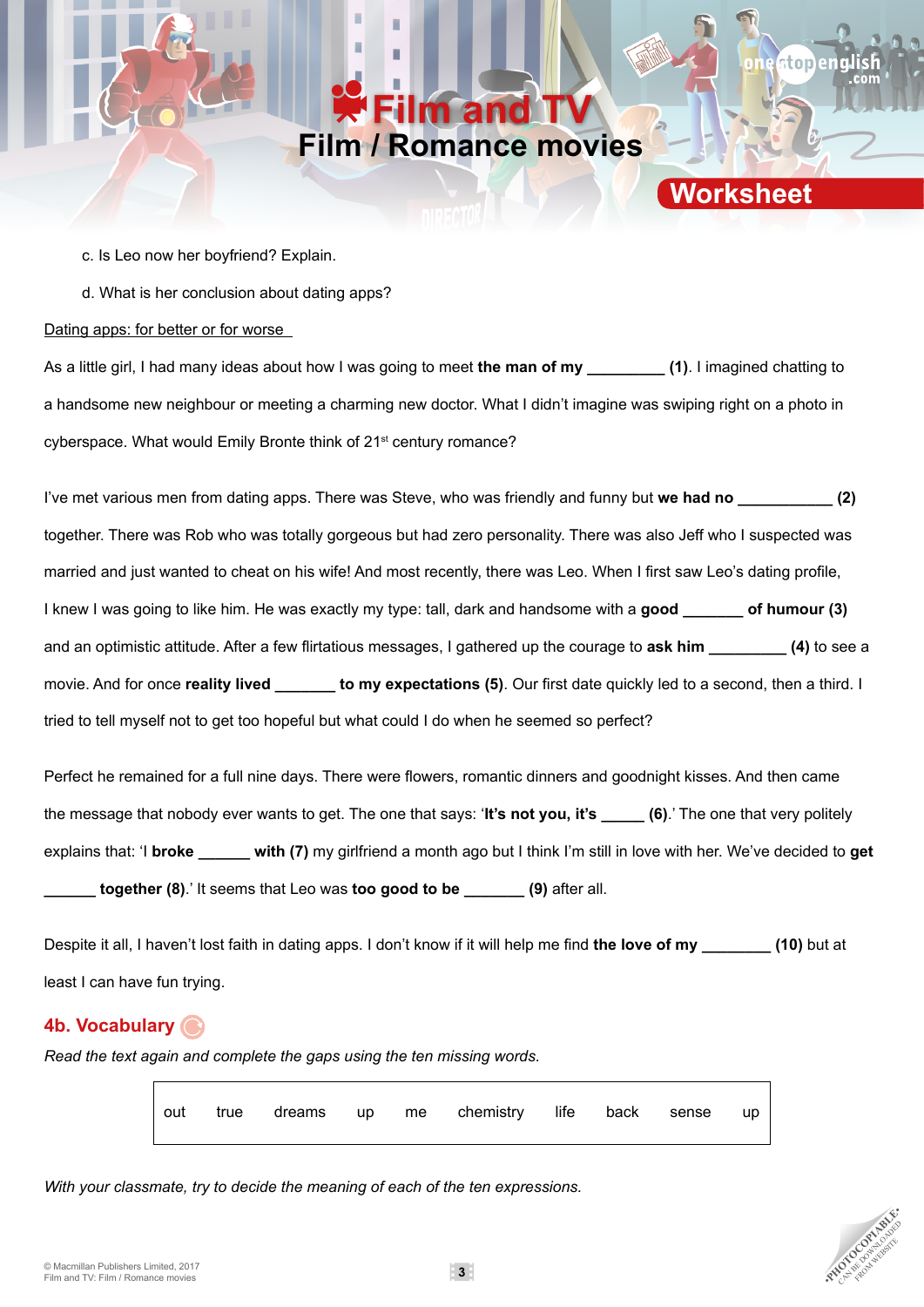## **Film and TV Film / Romance movies**

**Worksheet**

stopena

c. Is Leo now her boyfriend? Explain.

d. What is her conclusion about dating apps?

#### Dating apps: for better or for worse

As a little girl, I had many ideas about how I was going to meet **the man of my \_\_\_\_\_\_\_\_\_ (1)**. I imagined chatting to a handsome new neighbour or meeting a charming new doctor. What I didn't imagine was swiping right on a photo in cyberspace. What would Emily Bronte think of 21<sup>st</sup> century romance?

I've met various men from dating apps. There was Steve, who was friendly and funny but **we had no \_\_\_\_\_\_\_\_\_\_\_ (2)** together. There was Rob who was totally gorgeous but had zero personality. There was also Jeff who I suspected was married and just wanted to cheat on his wife! And most recently, there was Leo. When I first saw Leo's dating profile, I knew I was going to like him. He was exactly my type: tall, dark and handsome with a **good \_\_\_\_\_\_\_ of humour (3)** and an optimistic attitude. After a few flirtatious messages, I gathered up the courage to **ask him \_\_\_\_\_\_\_\_\_ (4)** to see a movie. And for once **reality lived \_\_\_\_\_\_\_ to my expectations (5)**. Our first date quickly led to a second, then a third. I tried to tell myself not to get too hopeful but what could I do when he seemed so perfect?

Perfect he remained for a full nine days. There were flowers, romantic dinners and goodnight kisses. And then came the message that nobody ever wants to get. The one that says: '**It's not you, it's \_\_\_\_\_ (6)**.' The one that very politely explains that: 'I **broke \_\_\_\_\_\_ with (7)** my girlfriend a month ago but I think I'm still in love with her. We've decided to **get \_\_\_\_\_\_ together (8)**.' It seems that Leo was **too good to be \_\_\_\_\_\_\_ (9)** after all.

Despite it all, I haven't lost faith in dating apps. I don't know if it will help me find **the love of my** (10) but at least I can have fun trying.

## **4b. Vocabulary**

*Read the text again and complete the gaps using the ten missing words.*

|  |  | out true dreams up me chemistry life back sense up |  |  |
|--|--|----------------------------------------------------|--|--|
|  |  |                                                    |  |  |

*With your classmate, try to decide the meaning of each of the ten expressions.*

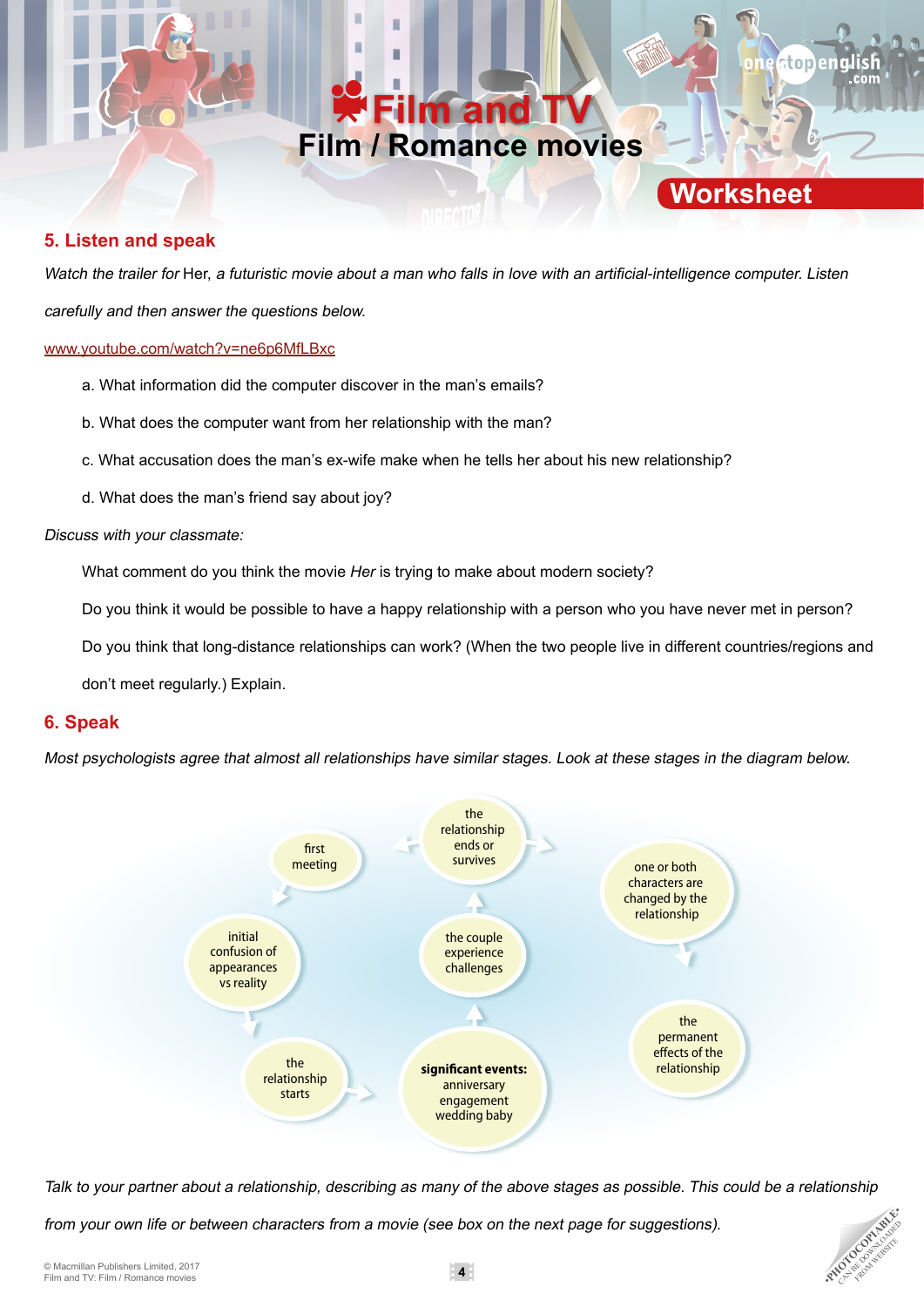## **Im and Film / Romance movies**

**Worksheet**

tonena

### **5. Listen and speak**

Watch the trailer for Her, a futuristic movie about a man who falls in love with an artificial-intelligence computer. Listen carefully and then answer the questions below.

#### www.youtube.com/watch?v=ne6p6MfLBxc

- a. What information did the computer discover in the man's emails?
- b. What does the computer want from her relationship with the man?
- c. What accusation does the man's ex-wife make when he tells her about his new relationship?
- d. What does the man's friend say about joy?

#### Discuss with your classmate:

What comment do you think the movie *Her* is trying to make about modern society?

Do you think it would be possible to have a happy relationship with a person who you have never met in person?

Do you think that long-distance relationships can work? (When the two people live in different countries/regions and

don't meet regularly.) Explain.

### **6. Speak**

Most psychologists agree that almost all relationships have similar stages. Look at these stages in the diagram below.



Talk to your partner about a relationship, describing as many of the above stages as possible. This could be a relationship

from your own life or between characters from a movie (see box on the next page for suggestions).

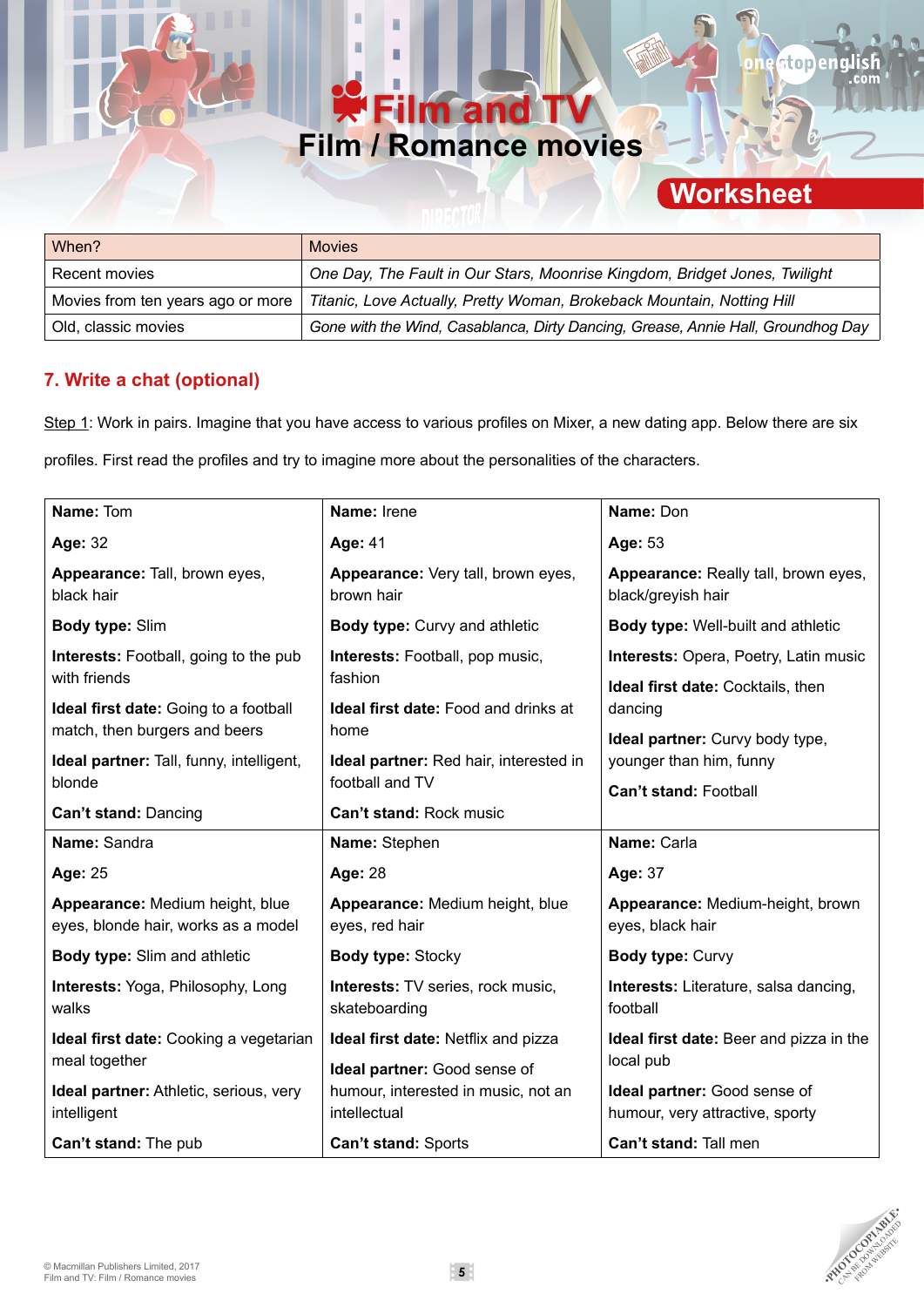## **Film and TV Film / Romance movies**

# **Worksheet**

stopenal

R

| When?                             | <b>Movies</b>                                                                    |
|-----------------------------------|----------------------------------------------------------------------------------|
| Recent movies                     | One Day, The Fault in Our Stars, Moonrise Kingdom, Bridget Jones, Twilight       |
| Movies from ten years ago or more | Titanic, Love Actually, Pretty Woman, Brokeback Mountain, Notting Hill           |
| Old, classic movies               | Gone with the Wind, Casablanca, Dirty Dancing, Grease, Annie Hall, Groundhog Day |

## **7. Write a chat (optional)**

Step 1: Work in pairs. Imagine that you have access to various profiles on Mixer, a new dating app. Below there are six profiles. First read the profiles and try to imagine more about the personalities of the characters.

| Name: Tom                                                              | Name: Irene                                               | Name: Don                                                       |  |  |
|------------------------------------------------------------------------|-----------------------------------------------------------|-----------------------------------------------------------------|--|--|
| Age: 32                                                                | Age: 41                                                   | Age: 53                                                         |  |  |
| Appearance: Tall, brown eyes,<br>black hair                            | Appearance: Very tall, brown eyes,<br>brown hair          | Appearance: Really tall, brown eyes,<br>black/greyish hair      |  |  |
| Body type: Slim                                                        | Body type: Curvy and athletic                             | Body type: Well-built and athletic                              |  |  |
| Interests: Football, going to the pub                                  | Interests: Football, pop music,                           | Interests: Opera, Poetry, Latin music                           |  |  |
| with friends                                                           | fashion                                                   | Ideal first date: Cocktails, then<br>dancing                    |  |  |
| <b>Ideal first date:</b> Going to a football                           | <b>Ideal first date:</b> Food and drinks at               |                                                                 |  |  |
| match, then burgers and beers                                          | home                                                      | Ideal partner: Curvy body type,                                 |  |  |
| Ideal partner: Tall, funny, intelligent,<br>blonde                     | Ideal partner: Red hair, interested in<br>football and TV | younger than him, funny                                         |  |  |
|                                                                        |                                                           | <b>Can't stand: Football</b>                                    |  |  |
| Can't stand: Dancing                                                   | Can't stand: Rock music                                   |                                                                 |  |  |
| Name: Sandra                                                           | Name: Stephen                                             | Name: Carla                                                     |  |  |
| Age: 25                                                                | Age: 28                                                   | Age: 37                                                         |  |  |
| Appearance: Medium height, blue<br>eyes, blonde hair, works as a model | Appearance: Medium height, blue<br>eyes, red hair         | Appearance: Medium-height, brown<br>eyes, black hair            |  |  |
| <b>Body type:</b> Slim and athletic                                    | Body type: Stocky                                         | <b>Body type: Curvy</b>                                         |  |  |
| Interests: Yoga, Philosophy, Long<br>walks                             | Interests: TV series, rock music,<br>skateboarding        | Interests: Literature, salsa dancing,<br>football               |  |  |
| Ideal first date: Cooking a vegetarian                                 | Ideal first date: Netflix and pizza                       | Ideal first date: Beer and pizza in the                         |  |  |
| meal together                                                          | Ideal partner: Good sense of                              | local pub                                                       |  |  |
| Ideal partner: Athletic, serious, very<br>intelligent                  | humour, interested in music, not an<br>intellectual       | Ideal partner: Good sense of<br>humour, very attractive, sporty |  |  |
| Can't stand: The pub                                                   | Can't stand: Sports                                       | Can't stand: Tall men                                           |  |  |

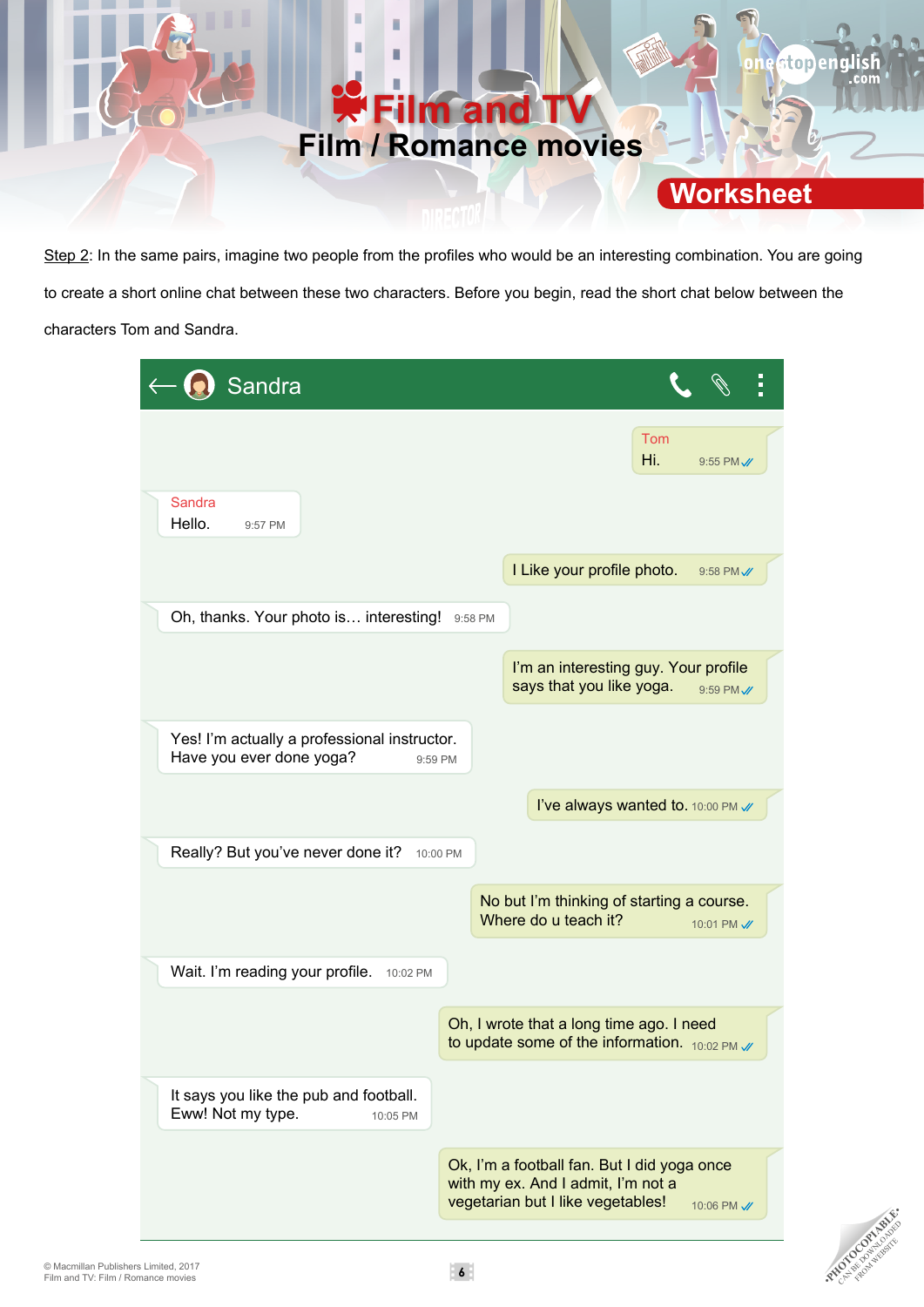

Step 2: In the same pairs, imagine two people from the profiles who would be an interesting combination. You are going to create a short online chat between these two characters. Before you begin, read the short chat below between the characters Tom and Sandra.

| Sandra                                                      |                                                         |          |                                                                                                                        |            |             |
|-------------------------------------------------------------|---------------------------------------------------------|----------|------------------------------------------------------------------------------------------------------------------------|------------|-------------|
| <b>Sandra</b>                                               |                                                         |          |                                                                                                                        | Tom<br>Hi. | 9:55 PM //  |
| Hello.<br>9:57 PM                                           |                                                         |          | I Like your profile photo.                                                                                             |            | 9:58 PM //  |
|                                                             | Oh, thanks. Your photo is interesting!                  | 9:58 PM  | I'm an interesting guy. Your profile<br>says that you like yoga.                                                       |            | 9:59 PM //  |
| Have you ever done yoga?                                    | Yes! I'm actually a professional instructor.<br>9:59 PM |          |                                                                                                                        |            |             |
|                                                             |                                                         |          | I've always wanted to. 10:00 PM /                                                                                      |            |             |
| Really? But you've never done it?                           |                                                         | 10:00 PM |                                                                                                                        |            |             |
|                                                             |                                                         |          | No but I'm thinking of starting a course.<br>Where do u teach it?                                                      |            | 10:01 PM // |
| Wait. I'm reading your profile.                             | 10:02 PM                                                |          |                                                                                                                        |            |             |
|                                                             |                                                         |          | Oh, I wrote that a long time ago. I need<br>to update some of the information. $_{10:02}$ PM $\mathcal{N}$             |            |             |
| It says you like the pub and football.<br>Eww! Not my type. | 10:05 PM                                                |          |                                                                                                                        |            |             |
|                                                             |                                                         |          | Ok, I'm a football fan. But I did yoga once<br>with my ex. And I admit, I'm not a<br>vegetarian but I like vegetables! |            | 10:06 PM // |



**PHOTOCOPIABLE**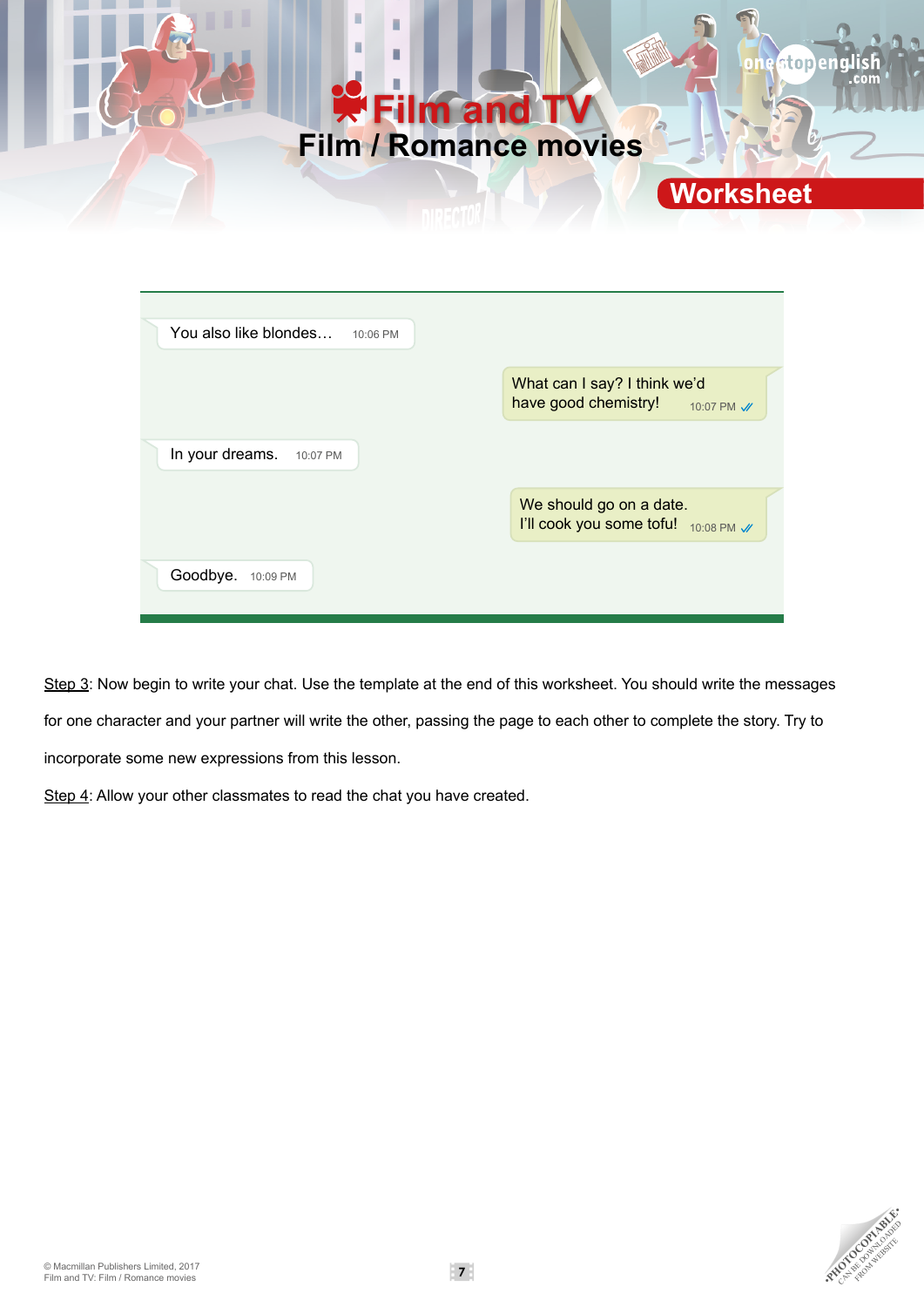

| You also like blondes       | 10:06 PM |                                                                |             |
|-----------------------------|----------|----------------------------------------------------------------|-------------|
|                             |          | What can I say? I think we'd<br>have good chemistry!           | 10:07 PM // |
| In your dreams.<br>10:07 PM |          |                                                                |             |
|                             |          | We should go on a date.<br>I'll cook you some tofu! 10:08 PM V |             |
| Goodbye.<br>10:09 PM        |          |                                                                |             |

Step 3: Now begin to write your chat. Use the template at the end of this worksheet. You should write the messages for one character and your partner will write the other, passing the page to each other to complete the story. Try to incorporate some new expressions from this lesson.

Step 4: Allow your other classmates to read the chat you have created.